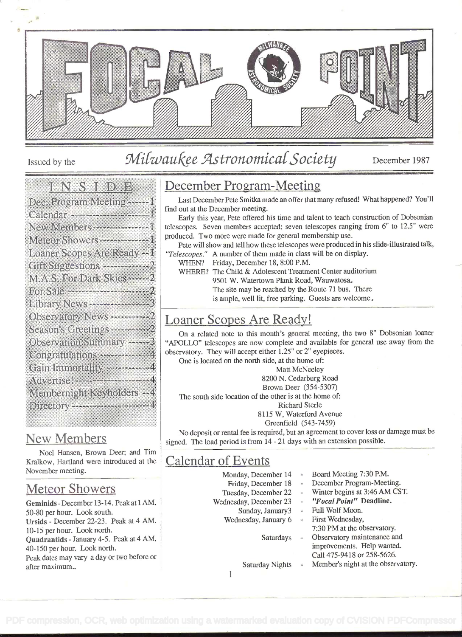

## Issued by the Milwaukee Astronomical Society December 1987

#### <u>i Karati (Kabupatén)</u>

| $\alpha$ and $\alpha$ , and $\alpha$ and $\alpha$ and $\alpha$ , $\alpha$ and $\alpha$ , $\alpha$ and $\alpha$ , $\alpha$ and $\alpha$ , $\alpha$ and $\alpha$ , $\alpha$ |
|---------------------------------------------------------------------------------------------------------------------------------------------------------------------------|
| Dec. Program Meeting ------1                                                                                                                                              |
|                                                                                                                                                                           |
|                                                                                                                                                                           |
| Meteor Showers ---------------1                                                                                                                                           |
| Loaner Scopes Are Ready -- I                                                                                                                                              |
| Gift Suggestions --------------2                                                                                                                                          |
| M.A.S. For Dark Skies------2                                                                                                                                              |
| For Sale ----------------------------                                                                                                                                     |
|                                                                                                                                                                           |
| Observatory News ------------2                                                                                                                                            |
| Season's Greetings ------------2                                                                                                                                          |
| Observation Summary ----- 3                                                                                                                                               |
| Congratulations -------------4                                                                                                                                            |
| Gain Inmonality ------------4                                                                                                                                             |
| Advertise!-------------------------                                                                                                                                       |
| Membernight Keyholders - - 4                                                                                                                                              |
| Directory ---------------------------                                                                                                                                     |
|                                                                                                                                                                           |

#### New Members

Noel Hansen, Brown Deer; and Tim Kralkow, Hartland were introduced at the November meeting.

#### Meteor Showers

Geminids - December 13-14. Peak at 1 AM. 50-80 per hour. Look south. Ursids - December 22-23. Peak at 4 AM. 10-15 per hour. Look north. Quadrantids - January 4-5. Peak at 4 AM. 40-150 per hour. Look north. Peak dates may vary a day or two before or after maximum..

#### December Program-Meeting

Last December Pete Smitka made an offer that many refused! What happened? You'll find Out at the December meeting.

Early this year, Pete offered his time and talent to teach construction of Dobsonian telescopes. Seven members accepted; seven telescopes ranging from 6" to 12.5" were produced. Two more were made for general membership use.

Pete will show and tell how these telescopes were produced in his slide-illustrated talk, "Telescopes." A number of them made in class will be on display.

WHEN? Friday, December 18, 8:00 P.M.

WHERE? The Child & Adolescent Treatment Center auditorium 9501 W. Watertown Plank Road, Wauwatosa. The site may be reached by the Route 71 bus. There is ample, well lit, free parking. Guests are welcome.

#### Loaner Scopes Are Ready!

On a related note to this month's general meeting, the two 8" Dobsonian loaner "APOLLO" telescopes are now complete and available for general use away from the observatory. They will accept either 1.25" or 2" eyepieces.

One is located on the north side, at the home of: Matt McNeeley 8200 N. Cedarburg Road Brown Deer (354-5307) The south side location of the other is at the home of: Richard Sterle 8115 W. Waterford Avenue Greenfield (543-7459)

No deposit or rental fee is required, but an agreement to cover loss or damage must be signed. The load period is from 14 - 21 days with an extension possible.

#### Calendar of Events

Monday, December 14 Friday, December 18 Tuesday, December 22 Wednesday, December 23 Sunday, January3 Wednesday, January 6 Saturdays Board Meeting 7:30 P.M. December Program-Meeting. Winter begins at 3:46 AM CST. "Focal Point" Deadline. Full Wolf Moon. First Wednesday, 7:30 PM at the observatory. Observatory maintenance and improvements. Help wanted.

Saturday Nights

- Call 475-9418 or 258-5626.
- Member's night at the observatory.

i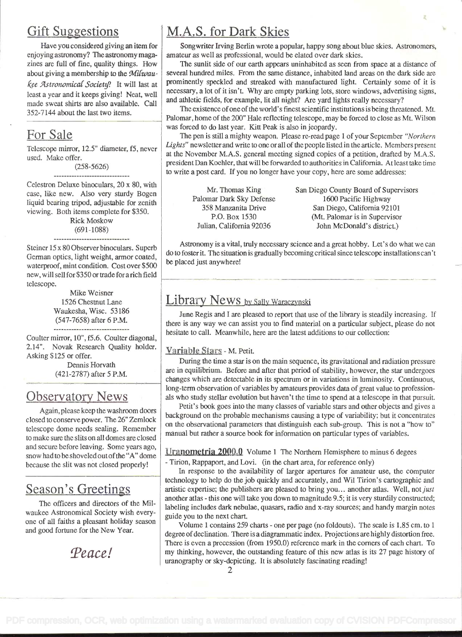#### **Gift Suggestions**

Have you considered giving an item for enjoying astronomy? The astronomy magazines are full of fine, quality things. How about giving a membership to the Milwaukee Astronomical Society? It will last at least a year and it keeps giving! Neat, well made sweat shirts are also available. Call 352-7144 about the last two items.

#### For Sale

Telescope mirror, 12.5" diameter, f5, never used. Make offer.

> (258-5626) ------------------------------

Celestron Deluxe binoculars, 20 x 80, with case, like new. Also very sturdy Bogen liquid bearing tripod, adjustable for zenith viewing. Both items complete for \$350.

Rick Moskow (691-1088) ------------------------

Steiner 15 x 80 Observer binoculars. Superb German optics, light weight, armor coated, waterproof, mint condition. Cost over \$500 new, will sell for \$350 or trade for arich field telescope.

> Mike Weisner 1526 Chestnut Lane Waukesha, Wisc. 53186 (547-7658) after 6 P.M. ---------<del>---------------------</del>

Coulter mirror, 10", f5.6. Coulter diagonal, 2.14'. Novak Research Quality holder. Asking \$125 or offer.

Dennis Horvath (421-2787) after 5 P.M.

#### Observatory News

Again, please keep the washroom doors closed to conserve power. The 26" Zemlock telescope dome needs sealing. Remember to make sure the slits on all domes are closed and secure before leaving. Some years ago, snow had to be shoveled out of the "A" dome because the slit was not closed properly!

#### Season's Greetings

The officers and directors of the Milwaukee Astronomical Society wish everyone of all faiths a pleasant holiday season and good fortune for the New Year.

Peace!

#### M.A.S. for Dark Skies

Songwriter Irving Berlin wrote a popular, happy song about blue skies. Astronomers, amateur as well as professional, would be elated over dark skies.

The sunlit side of our earth appears uninhabited as seen from space at a distance of several hundred miles. From the same distance, inhabited land areas on the dark side are prominently speckled and streaked with manufactured light. Certainly some of it is necessary, a lot of it isn't. Why are empty parking lots, store windows, advertising signs, and athletic fields, for example, lit all night? Are yard lights really necessary?

The existence of one of the world's finest scientific institutions is being threatened. Mt. Palomar, home of the 200" Hale reflecting telescope, may be forced to close as Mt. Wilson was forced to do last year. Kitt Peak is also in jeopardy.

The pen is still a mighty weapon. Please re-read page 1 of your September "Northern Lights" newsletter and write to one or all of the people listed in the article. Members present at the November M.A.S. general meeting signed copies of a petition, drafted by M.A.S. president Dan Koehler, that will be forwarded to authorities in California. At least take time to write a post card. If you no longer have your copy, here are some addresses:

Mr. Thomas King San Diego County Board of Supervisors Palomar Dark Sky Defense 1600 Pacific Highway<br>358 Manzanita Drive San Diego, California 921 3 Manzanita Drive San Diego, California 92101<br>P.O. Box 1530 (Mt. Palomar is in Supervisor) P.O. Box 1530 (Mt. Palomar is in Supervisor<br>Julian, California 92036 John McDonald's district.) John McDonald's district.)

Astronomy is a vital, truly necessary science and a great hobby. Let's do what we can do to foster it. The situation is gradually becoming critical since telescope installations can't be placed just anywhere!

### Library News by Sally Waraczynski

June Regis and I are pleased to report that use of the library is steadily increasing. If there is any way we can assist you to find material on a particular subject, please do not hesitate to call. Meanwhile, here are the latest additions to our collection:

#### Variable Stars - M. Petit.

During the time a star is on the main sequence, its gravitational and radiation pressure are in equilibrium. Before and after that period of stability, however, the star undergoes changes which are detectable in its spectrum or in variations in luminosity. Continuous, long-term observation of variables by amateurs provides data of great value to professionals who study stellar evolution but haven't the time to spend at a telescope in that pursuit.

Petit's book goes into the many classes of variable stars and other objects and gives a background on the probable mechanisms causing a type of variability; but it concentrates on the observational parameters that distinguish each sub-group. This is not a "how to" manual but rather a source book for information on particular types of variables.

Uranometria 2000.0 Volume 1 The Northern Hemisphere to minus 6 degees

- Tirion, Rappaport, and Lovi. (in the chart area, for reference only)

In response to the availability of larger apertures for amateur use, the computer technology to help do the job quickly and accurately, and Wil Tirion's cartographic and artistic expertise; the publishers are pleased to bring you... another atlas. Well, not just another atlas - this one will take you down to magnitude 9.5; it is very sturdily constructed; labeling includes dark nebulae, quasars, radio and x-ray sources; and handy margin notes guide you to the next chart.

Volume 1 contains 259 charts - one per page (no foldouts). The scale is 1.85 cm. to 1 degree of declination. There is a diagrammatic index. Projections are highly distortion free. There is even a precession (from 1950.0) reference mark in the corners of each chart. To my thinking, however, the outstanding feature of this new atlas is its 27 page history of uranography or sky-depicting. It is absolutely fascinating reading!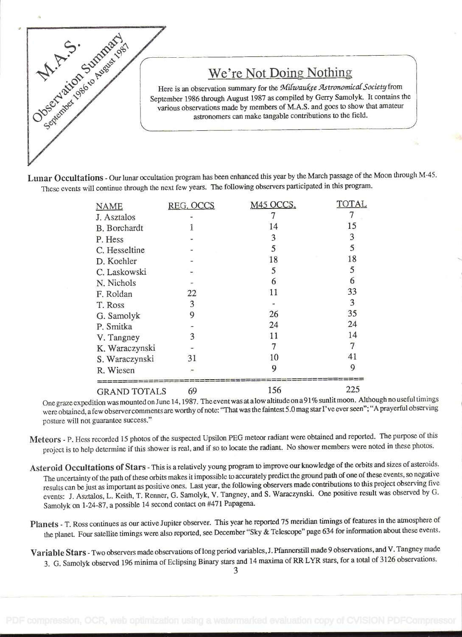

#### We're Not Doing Nothing

Here is an observation summary for the Milwaukee Astronomical Society from September 1986 through August 1987 as compiled by Geny Samolyk. It contains the various observations made by members of M.A.S. and goes to show that amateur astronomers can make tangable contributions to the field.

Lunar Occultations - Our lunar occultation program has been enhanced this year by the March passage of the Moon through M-45. These events will continue through the next few years. The following observers participated in this program.

| <b>NAME</b>         | REG. OCCS | M45 OCCS. | TOTAL |
|---------------------|-----------|-----------|-------|
| J. Asztalos         |           |           | 7     |
| B. Borchardt        |           | 14        | 15    |
| P. Hess             |           | 3         | 3     |
| C. Hesseltine       |           | 5         | 5     |
| D. Koehler          |           | 18        | 18    |
| C. Laskowski        |           | 5         | 5     |
| N. Nichols          |           | 6         | 6     |
| F. Roldan           | 22        | 11        | 33    |
| T. Ross             | 3         |           | 3     |
| G. Samolyk          | 9         | 26        | 35    |
| P. Smitka           |           | 24        | 24    |
| V. Tangney          | 3         | 11        | 14    |
| K. Waraczynski      |           | 7         | 7     |
| S. Waraczynski      | 31        | 10        | 41    |
| R. Wiesen           |           | 9         | 9     |
| <b>GRAND TOTALS</b> | 69        | 156       | 225   |

One graze expedition was mounted on June 14, 1987. The event was at a low altitude on a 91% sunlit moon. Although no useful timings were obtained, a few observer comments are worthy of note: "That was the faintest 5.0 mag star I've ever seen"; "A prayerful observing posture will not guarantee success."

Meteors - P. Hess recorded 15 photos of the suspected Upsilon PEG meteor radiant were obtained and reported. The purpose of this project is to help determine if this shower is real, and if so to locate the radiant. No shower members were noted in these photos.

Asteroid Occultations of Stars - This is a relatively young program to improve our knowledge of the orbits and sizes of asteroids. The uncertainty of the path of these orbits makes it impossible to accurately predict the ground path of one of these events, so negative results can be just as important as positive ones. Last year, the following observers made contributions to this project observing five events: J. Asztalos, L. Keith, T. Renner, G. Samolyk, V. Tangney, and S. Waraczynski. One positive result was observed by G. Samolyk on 1-24-87, a possible 14 second contact on #471 Papagena.

- Planets T. Ross continues as our active Jupiter observer. This year he reported 75 meridian timings of features in the atmosphere of the planet. Four satellite timings were also reported, see December "Sky & Telescope" page 634 for information about these events.
- Variable Stars Two observers made observations of long period variables, J. Pfannerstill made 9 observations, and V. Tangney made 3. G. Samolyk observed 196 minima of Eclipsing Binary stars and 14 maxima of RR LYR stars, for a total of 3 126 observations.